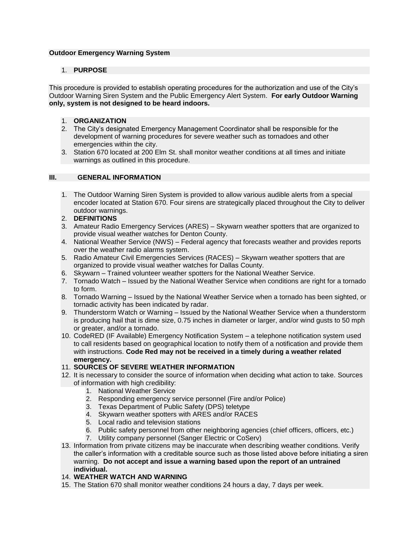## **Outdoor Emergency Warning System**

## 1. **PURPOSE**

This procedure is provided to establish operating procedures for the authorization and use of the City's Outdoor Warning Siren System and the Public Emergency Alert System. **For early Outdoor Warning only, system is not designed to be heard indoors.**

- 1. **ORGANIZATION**
- 2. The City's designated Emergency Management Coordinator shall be responsible for the development of warning procedures for severe weather such as tornadoes and other emergencies within the city.
- 3. Station 670 located at 200 Elm St. shall monitor weather conditions at all times and initiate warnings as outlined in this procedure.

# **III. GENERAL INFORMATION**

- 1. The Outdoor Warning Siren System is provided to allow various audible alerts from a special encoder located at Station 670. Four sirens are strategically placed throughout the City to deliver outdoor warnings.
- 2. **DEFINITIONS**
- 3. Amateur Radio Emergency Services (ARES) Skywarn weather spotters that are organized to provide visual weather watches for Denton County.
- 4. National Weather Service (NWS) Federal agency that forecasts weather and provides reports over the weather radio alarms system.
- 5. Radio Amateur Civil Emergencies Services (RACES) Skywarn weather spotters that are organized to provide visual weather watches for Dallas County.
- 6. Skywarn Trained volunteer weather spotters for the National Weather Service.
- 7. Tornado Watch Issued by the National Weather Service when conditions are right for a tornado to form.
- 8. Tornado Warning Issued by the National Weather Service when a tornado has been sighted, or tornadic activity has been indicated by radar.
- 9. Thunderstorm Watch or Warning Issued by the National Weather Service when a thunderstorm is producing hail that is dime size, 0.75 inches in diameter or larger, and/or wind gusts to 50 mph or greater, and/or a tornado.
- 10. CodeRED (IF Available) Emergency Notification System a telephone notification system used to call residents based on geographical location to notify them of a notification and provide them with instructions. **Code Red may not be received in a timely during a weather related emergency.**

#### 11. **SOURCES OF SEVERE WEATHER INFORMATION**

- 12. It is necessary to consider the source of information when deciding what action to take. Sources of information with high credibility:
	- 1. National Weather Service
	- 2. Responding emergency service personnel (Fire and/or Police)
	- 3. Texas Department of Public Safety (DPS) teletype
	- 4. Skywarn weather spotters with ARES and/or RACES
	- 5. Local radio and television stations
	- 6. Public safety personnel from other neighboring agencies (chief officers, officers, etc.)
	- 7. Utility company personnel (Sanger Electric or CoServ)
- 13. Information from private citizens may be inaccurate when describing weather conditions. Verify the caller's information with a creditable source such as those listed above before initiating a siren warning. **Do not accept and issue a warning based upon the report of an untrained individual.**
- 14. **WEATHER WATCH AND WARNING**
- 15. The Station 670 shall monitor weather conditions 24 hours a day, 7 days per week.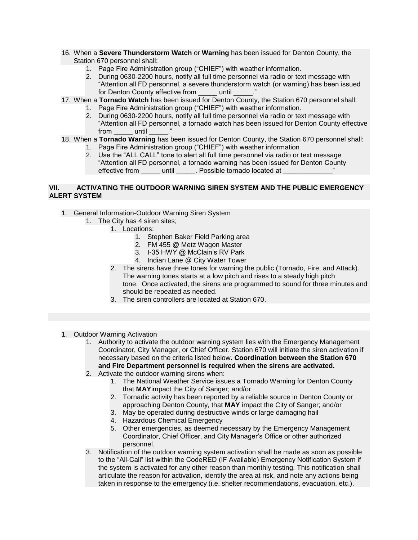- 16. When a **Severe Thunderstorm Watch** or **Warning** has been issued for Denton County, the Station 670 personnel shall:
	- 1. Page Fire Administration group ("CHIEF") with weather information.
	- 2. During 0630-2200 hours, notify all full time personnel via radio or text message with "Attention all FD personnel, a severe thunderstorm watch (or warning) has been issued for Denton County effective from Tuntil
- 17. When a **Tornado Watch** has been issued for Denton County, the Station 670 personnel shall:
	- 1. Page Fire Administration group ("CHIEF") with weather information.
		- 2. During 0630-2200 hours, notify all full time personnel via radio or text message with "Attention all FD personnel, a tornado watch has been issued for Denton County effective from until
- 18. When a **Tornado Warning** has been issued for Denton County, the Station 670 personnel shall:
	- 1. Page Fire Administration group ("CHIEF") with weather information
	- 2. Use the "ALL CALL" tone to alert all full time personnel via radio or text message "Attention all FD personnel, a tornado warning has been issued for Denton County effective from entil and Dossible tornado located at  $\overline{a}$

# **VII. ACTIVATING THE OUTDOOR WARNING SIREN SYSTEM AND THE PUBLIC EMERGENCY ALERT SYSTEM**

- 1. General Information-Outdoor Warning Siren System
	- 1. The City has 4 siren sites;
		- 1. Locations:
			- 1. Stephen Baker Field Parking area
			- 2. FM 455 @ Metz Wagon Master
			- 3. I-35 HWY @ McClain's RV Park
			- 4. Indian Lane @ City Water Tower
		- 2. The sirens have three tones for warning the public (Tornado, Fire, and Attack). The warning tones starts at a low pitch and rises to a steady high pitch tone. Once activated, the sirens are programmed to sound for three minutes and should be repeated as needed.
		- 3. The siren controllers are located at Station 670.
- 1. Outdoor Warning Activation
	- 1. Authority to activate the outdoor warning system lies with the Emergency Management Coordinator, City Manager, or Chief Officer. Station 670 will initiate the siren activation if necessary based on the criteria listed below. **Coordination between the Station 670 and Fire Department personnel is required when the sirens are activated.**
	- 2. Activate the outdoor warning sirens when:
		- 1. The National Weather Service issues a Tornado Warning for Denton County that **MAY**impact the City of Sanger; and/or
		- 2. Tornadic activity has been reported by a reliable source in Denton County or approaching Denton County, that **MAY** impact the City of Sanger; and/or
		- 3. May be operated during destructive winds or large damaging hail
		- 4. Hazardous Chemical Emergency
		- 5. Other emergencies, as deemed necessary by the Emergency Management Coordinator, Chief Officer, and City Manager's Office or other authorized personnel.
	- 3. Notification of the outdoor warning system activation shall be made as soon as possible to the "All-Call" list within the CodeRED (IF Available) Emergency Notification System if the system is activated for any other reason than monthly testing. This notification shall articulate the reason for activation, identify the area at risk, and note any actions being taken in response to the emergency (i.e. shelter recommendations, evacuation, etc.).